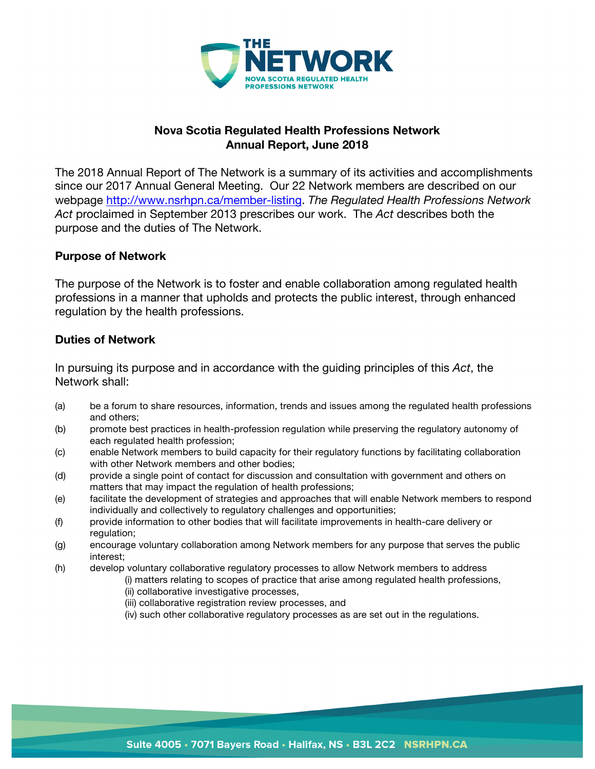

# **Nova Scotia Regulated Health Professions Network Annual Report, June 2018**

The 2018 Annual Report of The Network is a summary of its activities and accomplishments since our 2017 Annual General Meeting. Our 22 Network members are described on our webpage http://www.nsrhpn.ca/member-listing. *The Regulated Health Professions Network Act* proclaimed in September 2013 prescribes our work. The *Act* describes both the purpose and the duties of The Network.

# **Purpose of Network**

The purpose of the Network is to foster and enable collaboration among regulated health professions in a manner that upholds and protects the public interest, through enhanced regulation by the health professions.

### **Duties of Network**

In pursuing its purpose and in accordance with the guiding principles of this *Act*, the Network shall:

- (a) be a forum to share resources, information, trends and issues among the regulated health professions and others;
- (b) promote best practices in health-profession regulation while preserving the regulatory autonomy of each regulated health profession;
- (c) enable Network members to build capacity for their regulatory functions by facilitating collaboration with other Network members and other bodies;
- (d) provide a single point of contact for discussion and consultation with government and others on matters that may impact the regulation of health professions;
- (e) facilitate the development of strategies and approaches that will enable Network members to respond individually and collectively to regulatory challenges and opportunities;
- (f) provide information to other bodies that will facilitate improvements in health-care delivery or regulation:
- (g) encourage voluntary collaboration among Network members for any purpose that serves the public interest;
- (h) develop voluntary collaborative regulatory processes to allow Network members to address
	- (i) matters relating to scopes of practice that arise among regulated health professions, (ii) collaborative investigative processes,
		- (iii) collaborative registration review processes, and
		- (iv) such other collaborative regulatory processes as are set out in the regulations.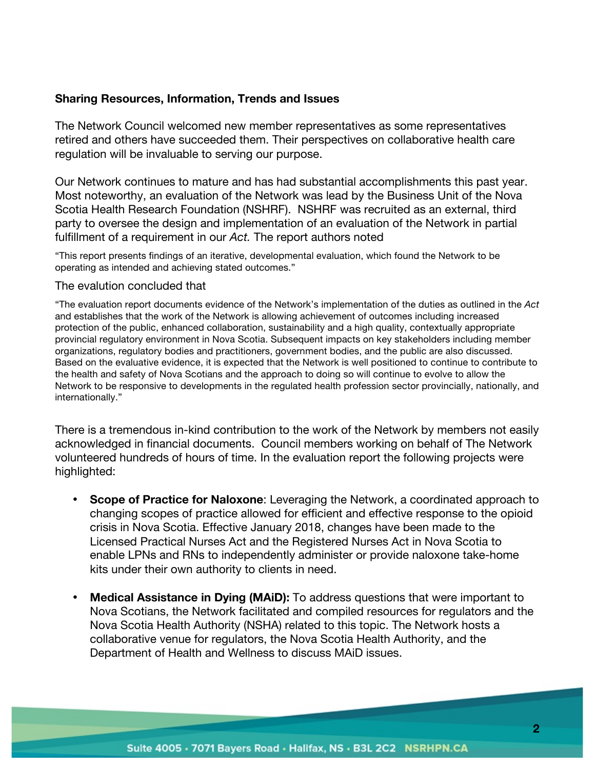### **Sharing Resources, Information, Trends and Issues**

The Network Council welcomed new member representatives as some representatives retired and others have succeeded them. Their perspectives on collaborative health care regulation will be invaluable to serving our purpose.

Our Network continues to mature and has had substantial accomplishments this past year. Most noteworthy, an evaluation of the Network was lead by the Business Unit of the Nova Scotia Health Research Foundation (NSHRF). NSHRF was recruited as an external, third party to oversee the design and implementation of an evaluation of the Network in partial fulfillment of a requirement in our *Act.* The report authors noted

"This report presents findings of an iterative, developmental evaluation, which found the Network to be operating as intended and achieving stated outcomes."

#### The evalution concluded that

"The evaluation report documents evidence of the Network's implementation of the duties as outlined in the *Act* and establishes that the work of the Network is allowing achievement of outcomes including increased protection of the public, enhanced collaboration, sustainability and a high quality, contextually appropriate provincial regulatory environment in Nova Scotia. Subsequent impacts on key stakeholders including member organizations, regulatory bodies and practitioners, government bodies, and the public are also discussed. Based on the evaluative evidence, it is expected that the Network is well positioned to continue to contribute to the health and safety of Nova Scotians and the approach to doing so will continue to evolve to allow the Network to be responsive to developments in the regulated health profession sector provincially, nationally, and internationally."

There is a tremendous in-kind contribution to the work of the Network by members not easily acknowledged in financial documents. Council members working on behalf of The Network volunteered hundreds of hours of time. In the evaluation report the following projects were highlighted:

- **Scope of Practice for Naloxone**: Leveraging the Network, a coordinated approach to changing scopes of practice allowed for efficient and effective response to the opioid crisis in Nova Scotia. Effective January 2018, changes have been made to the Licensed Practical Nurses Act and the Registered Nurses Act in Nova Scotia to enable LPNs and RNs to independently administer or provide naloxone take-home kits under their own authority to clients in need.
- **Medical Assistance in Dying (MAiD):** To address questions that were important to Nova Scotians, the Network facilitated and compiled resources for regulators and the Nova Scotia Health Authority (NSHA) related to this topic. The Network hosts a collaborative venue for regulators, the Nova Scotia Health Authority, and the Department of Health and Wellness to discuss MAiD issues.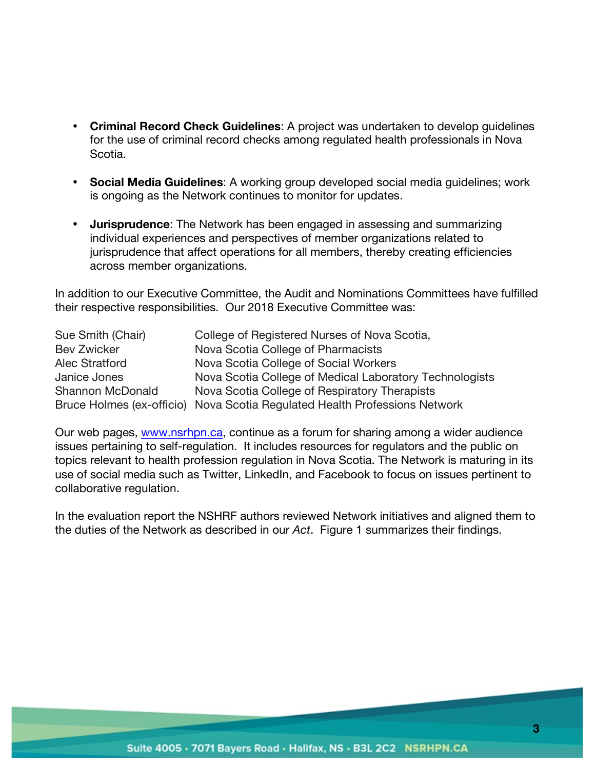- **Criminal Record Check Guidelines**: A project was undertaken to develop guidelines for the use of criminal record checks among regulated health professionals in Nova Scotia.
- **Social Media Guidelines**: A working group developed social media guidelines; work is ongoing as the Network continues to monitor for updates.
- **Jurisprudence**: The Network has been engaged in assessing and summarizing individual experiences and perspectives of member organizations related to jurisprudence that affect operations for all members, thereby creating efficiencies across member organizations.

In addition to our Executive Committee, the Audit and Nominations Committees have fulfilled their respective responsibilities. Our 2018 Executive Committee was:

| Sue Smith (Chair)       | College of Registered Nurses of Nova Scotia,                               |
|-------------------------|----------------------------------------------------------------------------|
| <b>Bev Zwicker</b>      | Nova Scotia College of Pharmacists                                         |
| <b>Alec Stratford</b>   | Nova Scotia College of Social Workers                                      |
| Janice Jones            | Nova Scotia College of Medical Laboratory Technologists                    |
| <b>Shannon McDonald</b> | Nova Scotia College of Respiratory Therapists                              |
|                         | Bruce Holmes (ex-officio) Nova Scotia Regulated Health Professions Network |

Our web pages, www.nsrhpn.ca, continue as a forum for sharing among a wider audience issues pertaining to self-regulation. It includes resources for regulators and the public on topics relevant to health profession regulation in Nova Scotia. The Network is maturing in its use of social media such as Twitter, LinkedIn, and Facebook to focus on issues pertinent to collaborative regulation.

In the evaluation report the NSHRF authors reviewed Network initiatives and aligned them to the duties of the Network as described in our *Act*. Figure 1 summarizes their findings.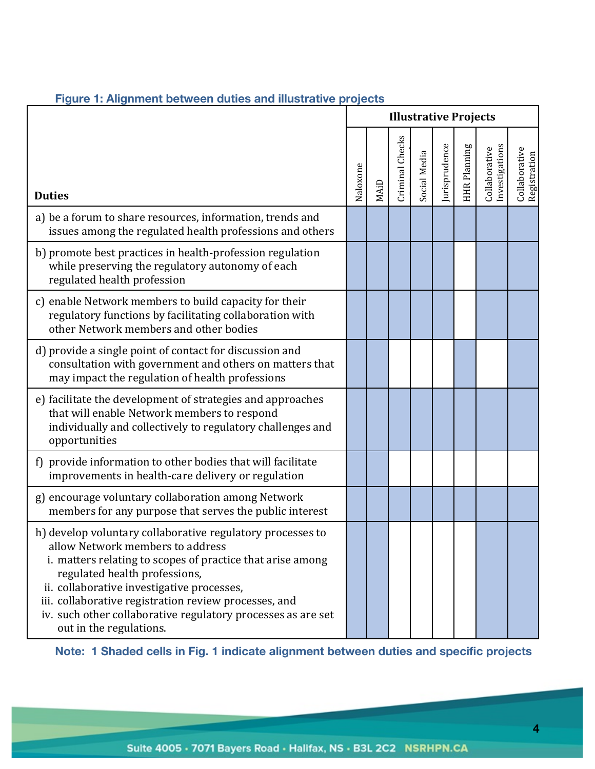|                                                                                                                                                                                                                                                                                                                                                                                                 | <b>Illustrative Projects</b> |      |                 |              |              |                     |                                 |                               |
|-------------------------------------------------------------------------------------------------------------------------------------------------------------------------------------------------------------------------------------------------------------------------------------------------------------------------------------------------------------------------------------------------|------------------------------|------|-----------------|--------------|--------------|---------------------|---------------------------------|-------------------------------|
| <b>Duties</b>                                                                                                                                                                                                                                                                                                                                                                                   | Naloxone                     | MAID | Criminal Checks | Social Media | urisprudence | <b>HHR Planning</b> | Investigations<br>Collaborative | Collaborative<br>Registration |
| a) be a forum to share resources, information, trends and<br>issues among the regulated health professions and others                                                                                                                                                                                                                                                                           |                              |      |                 |              |              |                     |                                 |                               |
| b) promote best practices in health-profession regulation<br>while preserving the regulatory autonomy of each<br>regulated health profession                                                                                                                                                                                                                                                    |                              |      |                 |              |              |                     |                                 |                               |
| c) enable Network members to build capacity for their<br>regulatory functions by facilitating collaboration with<br>other Network members and other bodies                                                                                                                                                                                                                                      |                              |      |                 |              |              |                     |                                 |                               |
| d) provide a single point of contact for discussion and<br>consultation with government and others on matters that<br>may impact the regulation of health professions                                                                                                                                                                                                                           |                              |      |                 |              |              |                     |                                 |                               |
| e) facilitate the development of strategies and approaches<br>that will enable Network members to respond<br>individually and collectively to regulatory challenges and<br>opportunities                                                                                                                                                                                                        |                              |      |                 |              |              |                     |                                 |                               |
| f) provide information to other bodies that will facilitate<br>improvements in health-care delivery or regulation                                                                                                                                                                                                                                                                               |                              |      |                 |              |              |                     |                                 |                               |
| g) encourage voluntary collaboration among Network<br>members for any purpose that serves the public interest                                                                                                                                                                                                                                                                                   |                              |      |                 |              |              |                     |                                 |                               |
| h) develop voluntary collaborative regulatory processes to<br>allow Network members to address<br>i. matters relating to scopes of practice that arise among<br>regulated health professions,<br>ii. collaborative investigative processes,<br>iii. collaborative registration review processes, and<br>iv. such other collaborative regulatory processes as are set<br>out in the regulations. |                              |      |                 |              |              |                     |                                 |                               |

# **Figure 1: Alignment between duties and illustrative projects**

**Note: 1 Shaded cells in Fig. 1 indicate alignment between duties and specific projects**